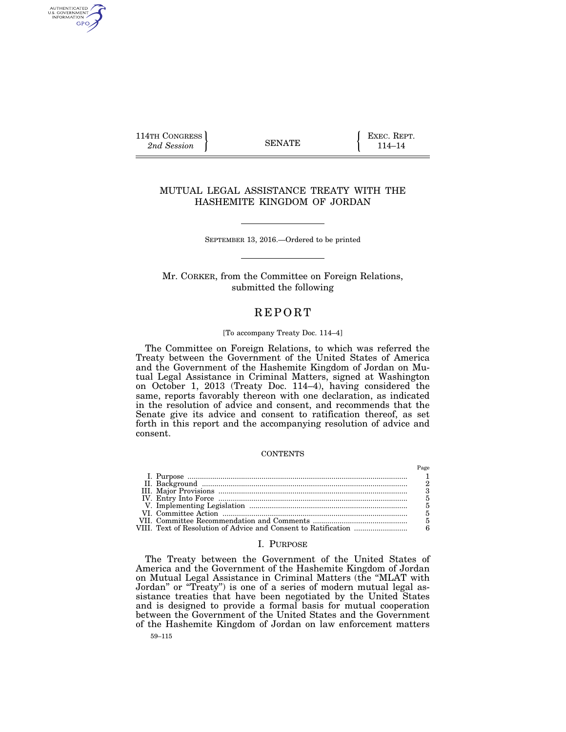114TH CONGRESS **EXEC. REPT.** 2nd Session **114–14 EXEC.** REPT.

AUTHENTICATED<br>U.S. GOVERNMENT<br>INFORMATION GPO

# MUTUAL LEGAL ASSISTANCE TREATY WITH THE HASHEMITE KINGDOM OF JORDAN

SEPTEMBER 13, 2016.—Ordered to be printed

Mr. CORKER, from the Committee on Foreign Relations, submitted the following

# **REPORT**

#### [To accompany Treaty Doc. 114–4]

The Committee on Foreign Relations, to which was referred the Treaty between the Government of the United States of America and the Government of the Hashemite Kingdom of Jordan on Mutual Legal Assistance in Criminal Matters, signed at Washington on October 1, 2013 (Treaty Doc. 114–4), having considered the same, reports favorably thereon with one declaration, as indicated in the resolution of advice and consent, and recommends that the Senate give its advice and consent to ratification thereof, as set forth in this report and the accompanying resolution of advice and consent.

## **CONTENTS**

### I. PURPOSE

The Treaty between the Government of the United States of America and the Government of the Hashemite Kingdom of Jordan on Mutual Legal Assistance in Criminal Matters (the ''MLAT with Jordan'' or ''Treaty'') is one of a series of modern mutual legal assistance treaties that have been negotiated by the United States and is designed to provide a formal basis for mutual cooperation between the Government of the United States and the Government of the Hashemite Kingdom of Jordan on law enforcement matters

59–115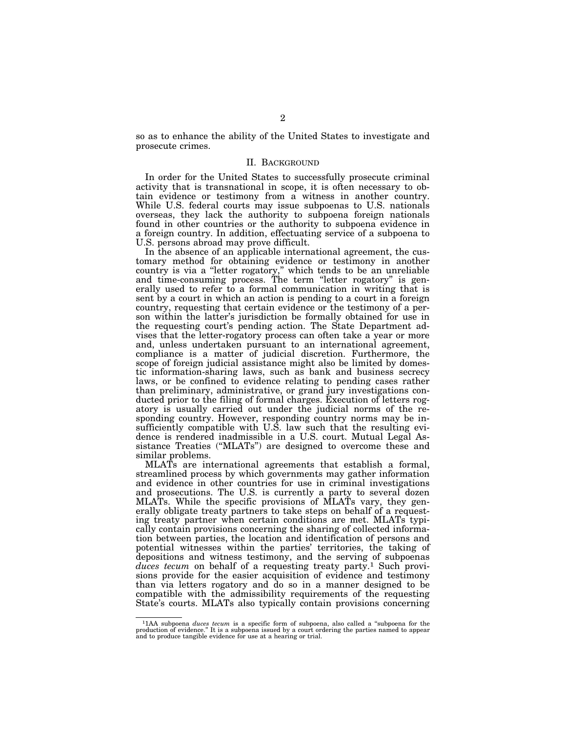so as to enhance the ability of the United States to investigate and prosecute crimes.

## II. BACKGROUND

In order for the United States to successfully prosecute criminal activity that is transnational in scope, it is often necessary to obtain evidence or testimony from a witness in another country. While U.S. federal courts may issue subpoenas to U.S. nationals overseas, they lack the authority to subpoena foreign nationals found in other countries or the authority to subpoena evidence in a foreign country. In addition, effectuating service of a subpoena to U.S. persons abroad may prove difficult.

In the absence of an applicable international agreement, the customary method for obtaining evidence or testimony in another country is via a ''letter rogatory,'' which tends to be an unreliable and time-consuming process. The term "letter rogatory" is generally used to refer to a formal communication in writing that is sent by a court in which an action is pending to a court in a foreign country, requesting that certain evidence or the testimony of a person within the latter's jurisdiction be formally obtained for use in the requesting court's pending action. The State Department advises that the letter-rogatory process can often take a year or more and, unless undertaken pursuant to an international agreement, compliance is a matter of judicial discretion. Furthermore, the scope of foreign judicial assistance might also be limited by domestic information-sharing laws, such as bank and business secrecy laws, or be confined to evidence relating to pending cases rather than preliminary, administrative, or grand jury investigations conducted prior to the filing of formal charges. Execution of letters rogatory is usually carried out under the judicial norms of the responding country. However, responding country norms may be insufficiently compatible with U.S. law such that the resulting evidence is rendered inadmissible in a U.S. court. Mutual Legal Assistance Treaties (''MLATs'') are designed to overcome these and similar problems.

MLATs are international agreements that establish a formal, streamlined process by which governments may gather information and evidence in other countries for use in criminal investigations and prosecutions. The U.S. is currently a party to several dozen MLATs. While the specific provisions of MLATs vary, they generally obligate treaty partners to take steps on behalf of a requesting treaty partner when certain conditions are met. MLATs typically contain provisions concerning the sharing of collected information between parties, the location and identification of persons and potential witnesses within the parties' territories, the taking of depositions and witness testimony, and the serving of subpoenas duces tecum on behalf of a requesting treaty party.<sup>1</sup> Such provisions provide for the easier acquisition of evidence and testimony than via letters rogatory and do so in a manner designed to be compatible with the admissibility requirements of the requesting State's courts. MLATs also typically contain provisions concerning

<sup>&</sup>lt;sup>1</sup>1AA subpoena *duces tecum* is a specific form of subpoena, also called a "subpoena for the production of evidence." It is a subpoena issued by a court ordering the parties named to appear and to produce tangible eviden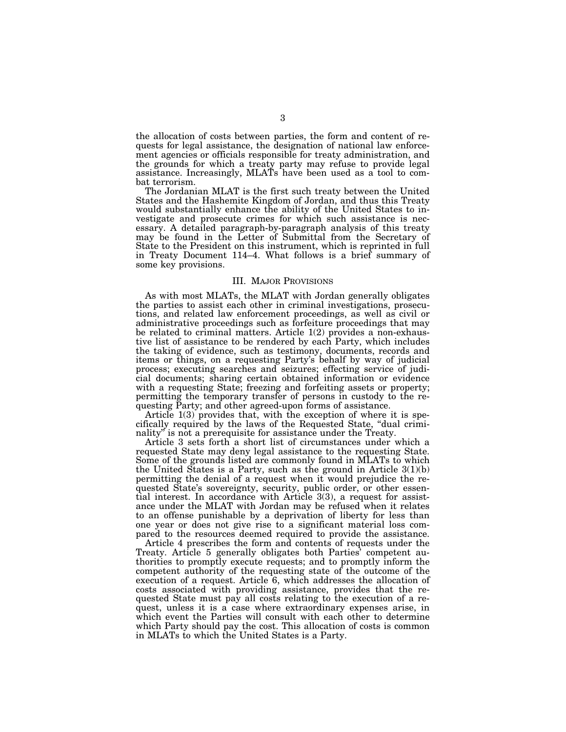the allocation of costs between parties, the form and content of requests for legal assistance, the designation of national law enforcement agencies or officials responsible for treaty administration, and the grounds for which a treaty party may refuse to provide legal assistance. Increasingly, MLATs have been used as a tool to combat terrorism.

The Jordanian MLAT is the first such treaty between the United States and the Hashemite Kingdom of Jordan, and thus this Treaty would substantially enhance the ability of the United States to investigate and prosecute crimes for which such assistance is necessary. A detailed paragraph-by-paragraph analysis of this treaty may be found in the Letter of Submittal from the Secretary of State to the President on this instrument, which is reprinted in full in Treaty Document 114–4. What follows is a brief summary of some key provisions.

#### III. MAJOR PROVISIONS

As with most MLATs, the MLAT with Jordan generally obligates the parties to assist each other in criminal investigations, prosecutions, and related law enforcement proceedings, as well as civil or administrative proceedings such as forfeiture proceedings that may be related to criminal matters. Article 1(2) provides a non-exhaustive list of assistance to be rendered by each Party, which includes the taking of evidence, such as testimony, documents, records and items or things, on a requesting Party's behalf by way of judicial process; executing searches and seizures; effecting service of judicial documents; sharing certain obtained information or evidence with a requesting State; freezing and forfeiting assets or property; permitting the temporary transfer of persons in custody to the requesting Party; and other agreed-upon forms of assistance.

Article 1(3) provides that, with the exception of where it is specifically required by the laws of the Requested State, ''dual criminality'' is not a prerequisite for assistance under the Treaty.

Article 3 sets forth a short list of circumstances under which a requested State may deny legal assistance to the requesting State. Some of the grounds listed are commonly found in MLATs to which the United States is a Party, such as the ground in Article  $3(1)(b)$ permitting the denial of a request when it would prejudice the requested State's sovereignty, security, public order, or other essential interest. In accordance with Article 3(3), a request for assistance under the MLAT with Jordan may be refused when it relates to an offense punishable by a deprivation of liberty for less than one year or does not give rise to a significant material loss compared to the resources deemed required to provide the assistance.

Article 4 prescribes the form and contents of requests under the Treaty. Article 5 generally obligates both Parties' competent authorities to promptly execute requests; and to promptly inform the competent authority of the requesting state of the outcome of the execution of a request. Article 6, which addresses the allocation of costs associated with providing assistance, provides that the requested State must pay all costs relating to the execution of a request, unless it is a case where extraordinary expenses arise, in which event the Parties will consult with each other to determine which Party should pay the cost. This allocation of costs is common in MLATs to which the United States is a Party.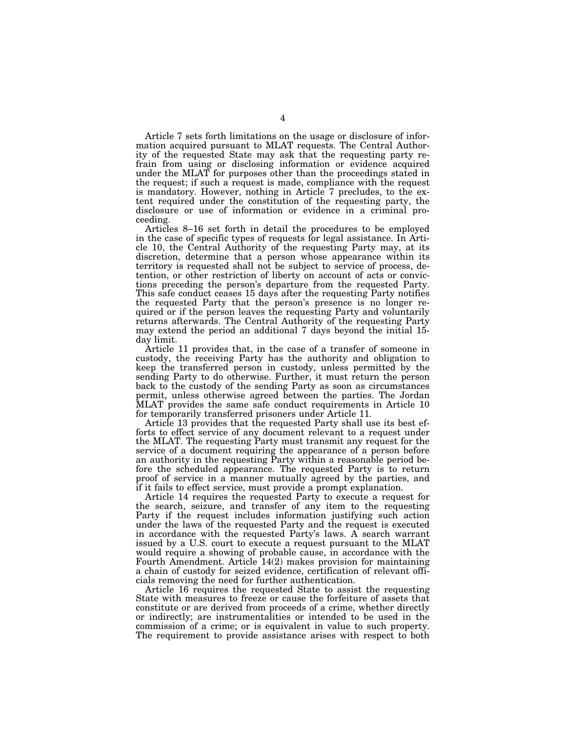Article 7 sets forth limitations on the usage or disclosure of information acquired pursuant to MLAT requests. The Central Authority of the requested State may ask that the requesting party refrain from using or disclosing information or evidence acquired under the MLAT for purposes other than the proceedings stated in the request; if such a request is made, compliance with the request is mandatory. However, nothing in Article 7 precludes, to the extent required under the constitution of the requesting party, the disclosure or use of information or evidence in a criminal proceeding.

Articles 8–16 set forth in detail the procedures to be employed in the case of specific types of requests for legal assistance. In Article 10, the Central Authority of the requesting Party may, at its discretion, determine that a person whose appearance within its territory is requested shall not be subject to service of process, detention, or other restriction of liberty on account of acts or convictions preceding the person's departure from the requested Party. This safe conduct ceases 15 days after the requesting Party notifies the requested Party that the person's presence is no longer required or if the person leaves the requesting Party and voluntarily returns afterwards. The Central Authority of the requesting Party may extend the period an additional 7 days beyond the initial 15 day limit.

Article 11 provides that, in the case of a transfer of someone in custody, the receiving Party has the authority and obligation to keep the transferred person in custody, unless permitted by the sending Party to do otherwise. Further, it must return the person back to the custody of the sending Party as soon as circumstances permit, unless otherwise agreed between the parties. The Jordan MLAT provides the same safe conduct requirements in Article 10 for temporarily transferred prisoners under Article 11.

Article 13 provides that the requested Party shall use its best efforts to effect service of any document relevant to a request under the MLAT. The requesting Party must transmit any request for the service of a document requiring the appearance of a person before an authority in the requesting Party within a reasonable period before the scheduled appearance. The requested Party is to return proof of service in a manner mutually agreed by the parties, and if it fails to effect service, must provide a prompt explanation.

Article 14 requires the requested Party to execute a request for the search, seizure, and transfer of any item to the requesting Party if the request includes information justifying such action under the laws of the requested Party and the request is executed in accordance with the requested Party's laws. A search warrant issued by a U.S. court to execute a request pursuant to the MLAT would require a showing of probable cause, in accordance with the Fourth Amendment. Article 14(2) makes provision for maintaining a chain of custody for seized evidence, certification of relevant officials removing the need for further authentication.

Article 16 requires the requested State to assist the requesting State with measures to freeze or cause the forfeiture of assets that constitute or are derived from proceeds of a crime, whether directly or indirectly; are instrumentalities or intended to be used in the commission of a crime; or is equivalent in value to such property. The requirement to provide assistance arises with respect to both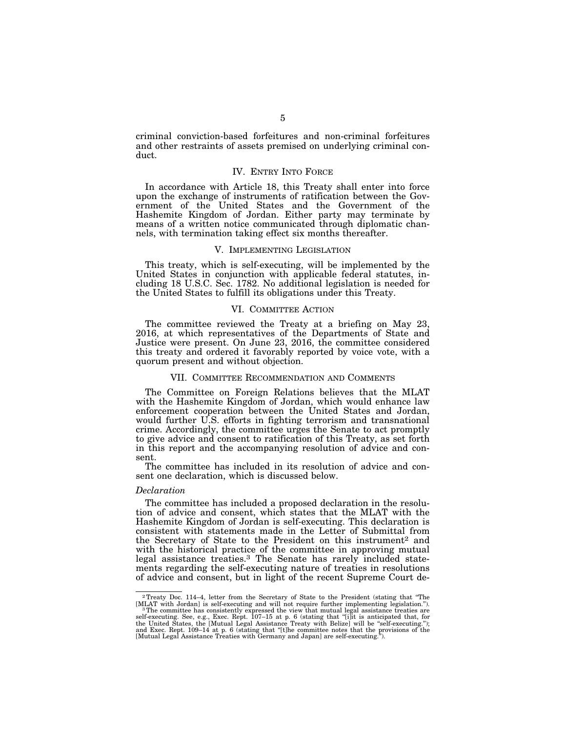criminal conviction-based forfeitures and non-criminal forfeitures and other restraints of assets premised on underlying criminal conduct.

### IV. ENTRY INTO FORCE

In accordance with Article 18, this Treaty shall enter into force upon the exchange of instruments of ratification between the Government of the United States and the Government of the Hashemite Kingdom of Jordan. Either party may terminate by means of a written notice communicated through diplomatic channels, with termination taking effect six months thereafter.

## V. IMPLEMENTING LEGISLATION

This treaty, which is self-executing, will be implemented by the United States in conjunction with applicable federal statutes, including 18 U.S.C. Sec. 1782. No additional legislation is needed for the United States to fulfill its obligations under this Treaty.

## VI. COMMITTEE ACTION

The committee reviewed the Treaty at a briefing on May 23, 2016, at which representatives of the Departments of State and Justice were present. On June 23, 2016, the committee considered this treaty and ordered it favorably reported by voice vote, with a quorum present and without objection.

#### VII. COMMITTEE RECOMMENDATION AND COMMENTS

The Committee on Foreign Relations believes that the MLAT with the Hashemite Kingdom of Jordan, which would enhance law enforcement cooperation between the United States and Jordan, would further U.S. efforts in fighting terrorism and transnational crime. Accordingly, the committee urges the Senate to act promptly to give advice and consent to ratification of this Treaty, as set forth in this report and the accompanying resolution of advice and consent.

The committee has included in its resolution of advice and consent one declaration, which is discussed below.

#### *Declaration*

The committee has included a proposed declaration in the resolution of advice and consent, which states that the MLAT with the Hashemite Kingdom of Jordan is self-executing. This declaration is consistent with statements made in the Letter of Submittal from the Secretary of State to the President on this instrument<sup>2</sup> and with the historical practice of the committee in approving mutual legal assistance treaties.3 The Senate has rarely included statements regarding the self-executing nature of treaties in resolutions of advice and consent, but in light of the recent Supreme Court de-

<sup>2</sup>Treaty Doc. 114–4, letter from the Secretary of State to the President (stating that ''The

<sup>[</sup>MLAT with Jordan] is self-executing and will not require further implementing legislation.")<br>
<sup>3</sup> The committee has consistently expressed the view that mutual legal assistance treaties are<br>
self-executing. See, e.g., Exe